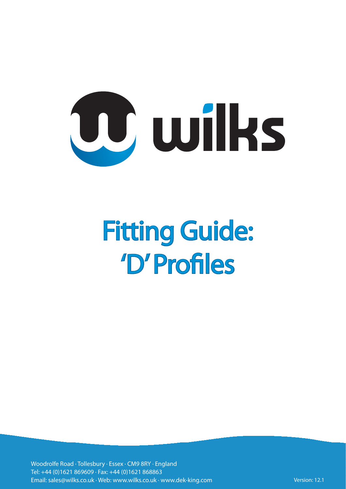

Woodrolfe Road · Tollesbury · Essex · CM9 8RY · England Tel: +44 (0)1621 869609 · Fax: +44 (0)1621 868863 Email: sales@wilks.co.uk · Web: www.wilks.co.uk · www.dek-king.com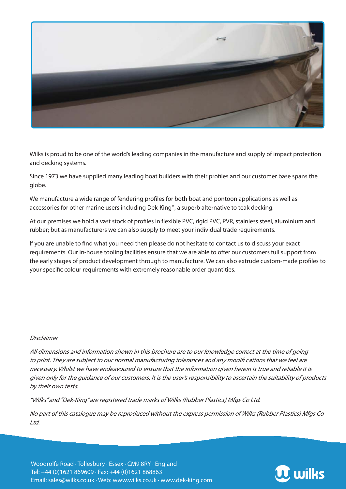

Wilks is proud to be one of the world's leading companies in the manufacture and supply of impact protection and decking systems.

Since 1973 we have supplied many leading boat builders with their profiles and our customer base spans the globe.

We manufacture a wide range of fendering profiles for both boat and pontoon applications as well as accessories for other marine users including Dek-King®, a superb alternative to teak decking.

At our premises we hold a vast stock of profiles in flexible PVC, rigid PVC, PVR, stainless steel, aluminium and rubber; but as manufacturers we can also supply to meet your individual trade requirements.

If you are unable to find what you need then please do not hesitate to contact us to discuss your exact requirements. Our in-house tooling facilities ensure that we are able to offer our customers full support from the early stages of product development through to manufacture. We can also extrude custom-made profiles to your specific colour requirements with extremely reasonable order quantities.

#### Disclaimer

All dimensions and information shown in this brochure are to our knowledge correct at the time of going to print. They are subject to our normal manufacturing tolerances and any modifi cations that we feel are necessary. Whilst we have endeavoured to ensure that the information given herein is true and reliable it is given only for the guidance of our customers. It is the user's responsibility to ascertain the suitability of products by their own tests.

"Wilks" and "Dek-King" are registered trade marks of Wilks (Rubber Plastics) Mfgs Co Ltd.

No part of this catalogue may be reproduced without the express permission of Wilks (Rubber Plastics) Mfgs Co Ltd.

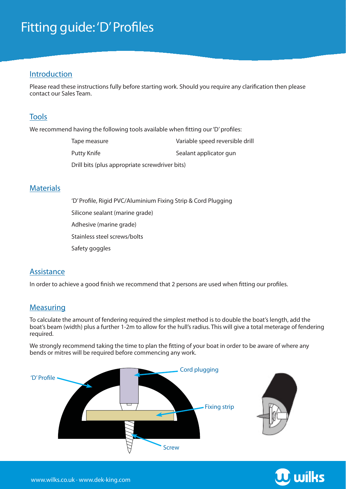#### Introduction

Please read these instructions fully before starting work. Should you require any clarification then please contact our Sales Team.

### Tools

We recommend having the following tools available when fitting our 'D' profiles:

| Tape measure                                   | Variable speed reversible drill |
|------------------------------------------------|---------------------------------|
| Putty Knife                                    | Sealant applicator gun          |
| Drill bits (plus appropriate screwdriver bits) |                                 |

#### **Materials**

'D' Profile, Rigid PVC/Aluminium Fixing Strip & Cord Plugging Silicone sealant (marine grade) Adhesive (marine grade) Stainless steel screws/bolts Safety goggles

### **Assistance**

In order to achieve a good finish we recommend that 2 persons are used when fitting our profiles.

### Measuring

To calculate the amount of fendering required the simplest method is to double the boat's length, add the boat's beam (width) plus a further 1-2m to allow for the hull's radius. This will give a total meterage of fendering required.

We strongly recommend taking the time to plan the fitting of your boat in order to be aware of where any bends or mitres will be required before commencing any work.





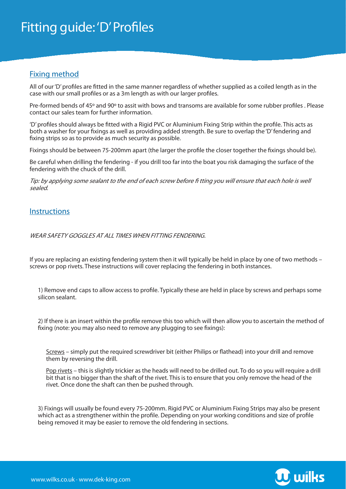### Fixing method

All of our 'D' profiles are fitted in the same manner regardless of whether supplied as a coiled length as in the case with our small profiles or as a 3m length as with our larger profiles.

Pre-formed bends of 45° and 90° to assit with bows and transoms are available for some rubber profiles. Please contact our sales team for further information.

'D' profiles should always be fitted with a Rigid PVC or Aluminium Fixing Strip within the profile. This acts as both a washer for your fixings as well as providing added strength. Be sure to overlap the 'D' fendering and fixing strips so as to provide as much security as possible.

Fixings should be between 75-200mm apart (the larger the profile the closer together the fixings should be).

Be careful when drilling the fendering - if you drill too far into the boat you risk damaging the surface of the fendering with the chuck of the drill.

Tip: by applying some sealant to the end of each screw before fi tting you will ensure that each hole is well sealed.

#### **Instructions**

WEAR SAFETY GOGGLES AT ALL TIMES WHEN FITTING FENDERING.

If you are replacing an existing fendering system then it will typically be held in place by one of two methods – screws or pop rivets. These instructions will cover replacing the fendering in both instances.

1) Remove end caps to allow access to profile. Typically these are held in place by screws and perhaps some silicon sealant.

2) If there is an insert within the profile remove this too which will then allow you to ascertain the method of fixing (note: you may also need to remove any plugging to see fixings):

Screws – simply put the required screwdriver bit (either Philips or flathead) into your drill and remove them by reversing the drill.

Pop rivets – this is slightly trickier as the heads will need to be drilled out. To do so you will require a drill bit that is no bigger than the shaft of the rivet. This is to ensure that you only remove the head of the rivet. Once done the shaft can then be pushed through.

3) Fixings will usually be found every 75-200mm. Rigid PVC or Aluminium Fixing Strips may also be present which act as a strengthener within the profile. Depending on your working conditions and size of profile being removed it may be easier to remove the old fendering in sections.

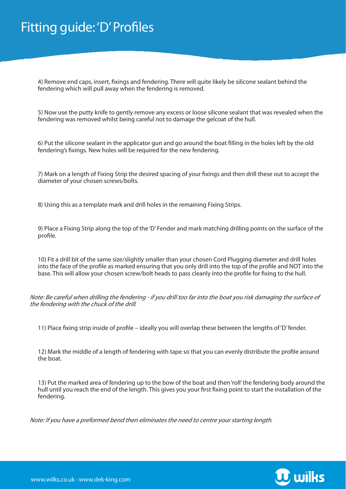4) Remove end caps, insert, fixings and fendering. There will quite likely be silicone sealant behind the fendering which will pull away when the fendering is removed.

5) Now use the putty knife to gently remove any excess or loose silicone sealant that was revealed when the fendering was removed whilst being careful not to damage the gelcoat of the hull.

6) Put the silicone sealant in the applicator gun and go around the boat filling in the holes left by the old fendering's fixings. New holes will be required for the new fendering.

7) Mark on a length of Fixing Strip the desired spacing of your fixings and then drill these out to accept the diameter of your chosen screws/bolts.

8) Using this as a template mark and drill holes in the remaining Fixing Strips.

9) Place a Fixing Strip along the top of the 'D' Fender and mark matching drilling points on the surface of the profile.

10) Fit a drill bit of the same size/slightly smaller than your chosen Cord Plugging diameter and drill holes into the face of the profile as marked ensuring that you only drill into the top of the profile and NOT into the base. This will allow your chosen screw/bolt heads to pass cleanly into the profile for fixing to the hull.

Note: Be careful when drilling the fendering - if you drill too far into the boat you risk damaging the surface of the fendering with the chuck of the drill.

11) Place fixing strip inside of profile – ideally you will overlap these between the lengths of 'D' fender.

12) Mark the middle of a length of fendering with tape so that you can evenly distribute the profile around the boat.

13) Put the marked area of fendering up to the bow of the boat and then 'roll' the fendering body around the hull until you reach the end of the length. This gives you your first fixing point to start the installation of the fendering.

Note: If you have a preformed bend then eliminates the need to centre your starting length.

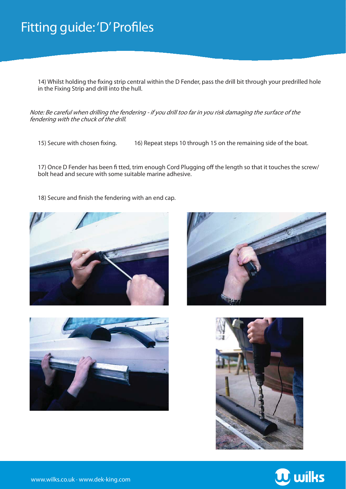14) Whilst holding the fixing strip central within the D Fender, pass the drill bit through your predrilled hole in the Fixing Strip and drill into the hull.

Note: Be careful when drilling the fendering - if you drill too far in you risk damaging the surface of the fendering with the chuck of the drill.

15) Secure with chosen fixing. 16) Repeat steps 10 through 15 on the remaining side of the boat.

17) Once D Fender has been fi tted, trim enough Cord Plugging off the length so that it touches the screw/ bolt head and secure with some suitable marine adhesive.

18) Secure and finish the fendering with an end cap.









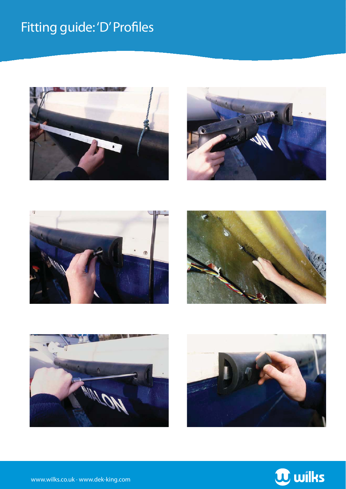